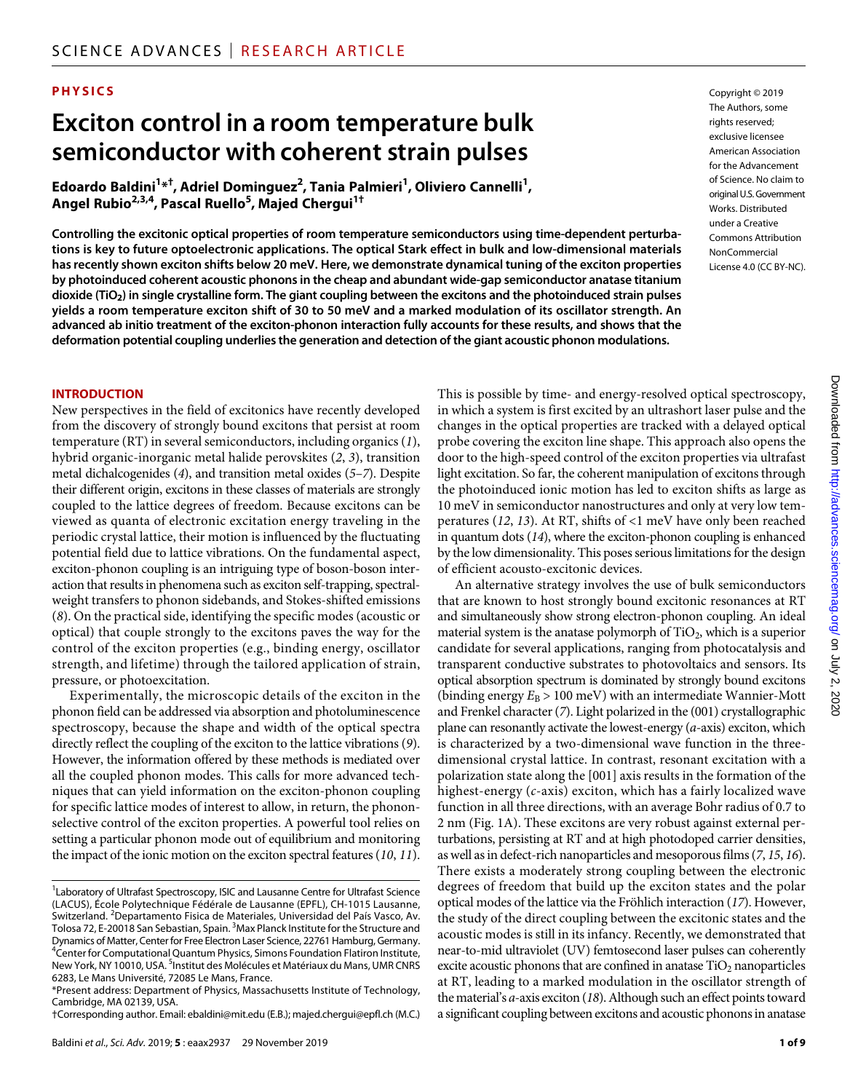# **PHYSICS**

# **Exciton control in a room temperature bulk semiconductor with coherent strain pulses**

 $\bf{E}$ doardo Baldini<sup>1</sup>\*<sup>†</sup>, Adriel Dominguez<sup>2</sup>, Tania Palmieri<sup>1</sup>, Oliviero Cannelli<sup>1</sup>, **Angel Rubio2,3,4, Pascal Ruello5 , Majed Chergui1†**

**Controlling the excitonic optical properties of room temperature semiconductors using time-dependent perturbations is key to future optoelectronic applications. The optical Stark effect in bulk and low-dimensional materials has recently shown exciton shifts below 20 meV. Here, we demonstrate dynamical tuning of the exciton properties by photoinduced coherent acoustic phonons in the cheap and abundant wide-gap semiconductor anatase titanium dioxide (TiO2) in single crystalline form. The giant coupling between the excitons and the photoinduced strain pulses yields a room temperature exciton shift of 30 to 50 meV and a marked modulation of its oscillator strength. An advanced ab initio treatment of the exciton-phonon interaction fully accounts for these results, and shows that the deformation potential coupling underlies the generation and detection of the giant acoustic phonon modulations.**

**INTRODUCTION**

New perspectives in the field of excitonics have recently developed from the discovery of strongly bound excitons that persist at room temperature (RT) in several semiconductors, including organics (*1*), hybrid organic-inorganic metal halide perovskites (*2*, *3*), transition metal dichalcogenides (*4*), and transition metal oxides (*5*–*7*). Despite their different origin, excitons in these classes of materials are strongly coupled to the lattice degrees of freedom. Because excitons can be viewed as quanta of electronic excitation energy traveling in the periodic crystal lattice, their motion is influenced by the fluctuating potential field due to lattice vibrations. On the fundamental aspect, exciton-phonon coupling is an intriguing type of boson-boson interaction that results in phenomena such as exciton self-trapping, spectralweight transfers to phonon sidebands, and Stokes-shifted emissions (*8*). On the practical side, identifying the specific modes (acoustic or optical) that couple strongly to the excitons paves the way for the control of the exciton properties (e.g., binding energy, oscillator strength, and lifetime) through the tailored application of strain, pressure, or photoexcitation.

Experimentally, the microscopic details of the exciton in the phonon field can be addressed via absorption and photoluminescence spectroscopy, because the shape and width of the optical spectra directly reflect the coupling of the exciton to the lattice vibrations (*9*). However, the information offered by these methods is mediated over all the coupled phonon modes. This calls for more advanced techniques that can yield information on the exciton-phonon coupling for specific lattice modes of interest to allow, in return, the phononselective control of the exciton properties. A powerful tool relies on setting a particular phonon mode out of equilibrium and monitoring the impact of the ionic motion on the exciton spectral features (*10*, *11*).

Copyright © 2019 The Authors, some rights reserved: exclusive licensee American Association for the Advancement of Science. No claim to original U.S.Government Works. Distributed under a Creative Commons Attribution **NonCommercial** License 4.0 (CC BY-NC).

This is possible by time- and energy-resolved optical spectroscopy, in which a system is first excited by an ultrashort laser pulse and the changes in the optical properties are tracked with a delayed optical probe covering the exciton line shape. This approach also opens the door to the high-speed control of the exciton properties via ultrafast light excitation. So far, the coherent manipulation of excitons through the photoinduced ionic motion has led to exciton shifts as large as 10 meV in semiconductor nanostructures and only at very low temperatures (*12*, *13*). At RT, shifts of <1 meV have only been reached in quantum dots (*14*), where the exciton-phonon coupling is enhanced by the low dimensionality. This poses serious limitations for the design of efficient acousto-excitonic devices.

An alternative strategy involves the use of bulk semiconductors that are known to host strongly bound excitonic resonances at RT and simultaneously show strong electron-phonon coupling. An ideal material system is the anatase polymorph of  $TiO<sub>2</sub>$ , which is a superior candidate for several applications, ranging from photocatalysis and transparent conductive substrates to photovoltaics and sensors. Its optical absorption spectrum is dominated by strongly bound excitons (binding energy  $E_B > 100$  meV) with an intermediate Wannier-Mott and Frenkel character (*7*). Light polarized in the (001) crystallographic plane can resonantly activate the lowest-energy (*a*-axis) exciton, which is characterized by a two-dimensional wave function in the threedimensional crystal lattice. In contrast, resonant excitation with a polarization state along the [001] axis results in the formation of the highest-energy (*c*-axis) exciton, which has a fairly localized wave function in all three directions, with an average Bohr radius of 0.7 to 2 nm (Fig. 1A). These excitons are very robust against external perturbations, persisting at RT and at high photodoped carrier densities, as well as in defect-rich nanoparticles and mesoporous films (*7*, *15*, *16*). There exists a moderately strong coupling between the electronic degrees of freedom that build up the exciton states and the polar optical modes of the lattice via the Fröhlich interaction (*17*). However, the study of the direct coupling between the excitonic states and the acoustic modes is still in its infancy. Recently, we demonstrated that near-to-mid ultraviolet (UV) femtosecond laser pulses can coherently excite acoustic phonons that are confined in anatase  $TiO<sub>2</sub>$  nanoparticles at RT, leading to a marked modulation in the oscillator strength of the material's *a*-axis exciton (*18*). Although such an effect points toward a significant coupling between excitons and acoustic phonons in anatase

<sup>&</sup>lt;sup>1</sup> Laboratory of Ultrafast Spectroscopy, ISIC and Lausanne Centre for Ultrafast Science (LACUS), École Polytechnique Fédérale de Lausanne (EPFL), CH-1015 Lausanne, Switzerland. <sup>2</sup>Departamento Fisica de Materiales, Universidad del País Vasco, Av. Tolosa 72, E-20018 San Sebastian, Spain. <sup>3</sup>Max Planck Institute for the Structure and Dynamics of Matter, Center for Free Electron Laser Science, 22761 Hamburg, Germany. 4 Center for Computational Quantum Physics, Simons Foundation Flatiron Institute, New York, NY 10010, USA. <sup>5</sup>Institut des Molécules et Matériaux du Mans, UMR CNRS 6283, Le Mans Université, 72085 Le Mans, France.

<sup>\*</sup>Present address: Department of Physics, Massachusetts Institute of Technology, Cambridge, MA 02139, USA.

<sup>†</sup>Corresponding author. Email: ebaldini@mit.edu (E.B.); majed.chergui@epfl.ch (M.C.)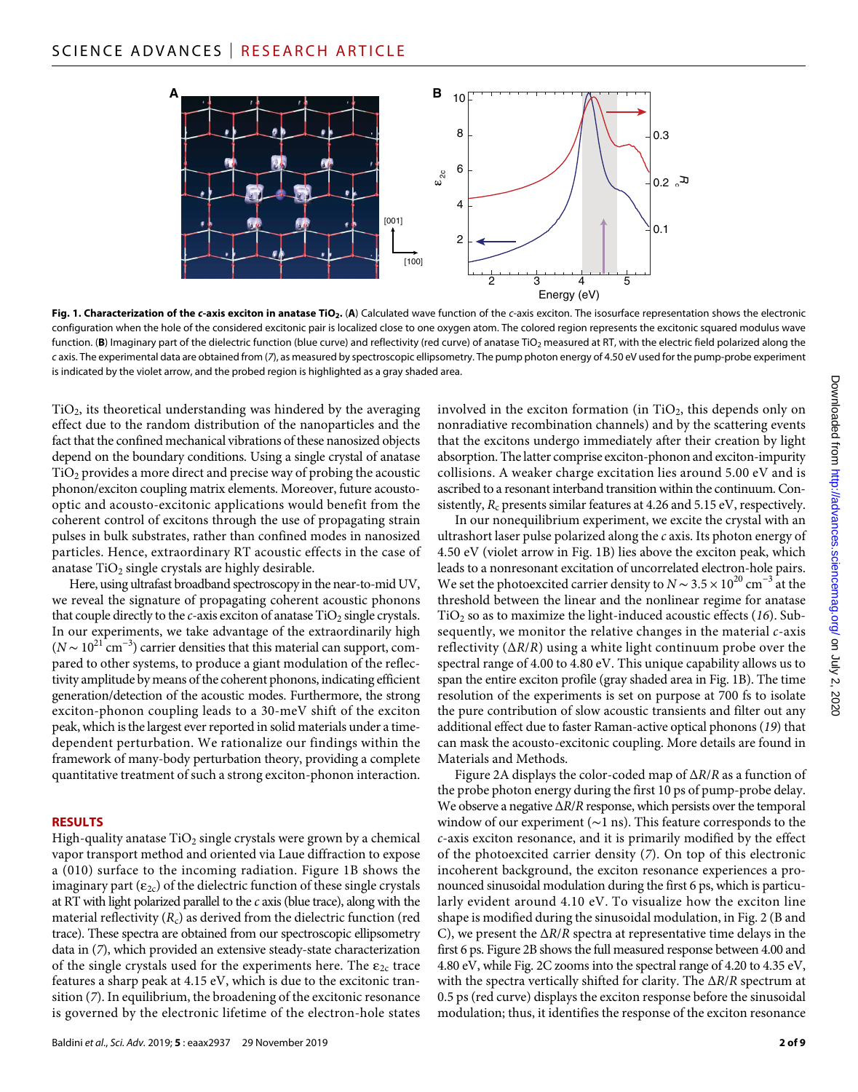

Fig. 1. Characterization of the c-axis exciton in anatase TiO<sub>2</sub>. (A) Calculated wave function of the *c*-axis exciton. The isosurface representation shows the electronic configuration when the hole of the considered excitonic pair is localized close to one oxygen atom. The colored region represents the excitonic squared modulus wave function. (B) Imaginary part of the dielectric function (blue curve) and reflectivity (red curve) of anatase TiO<sub>2</sub> measured at RT, with the electric field polarized along the *c* axis. The experimental data are obtained from (*7*), as measured by spectroscopic ellipsometry. The pump photon energy of 4.50 eV used for the pump-probe experiment is indicated by the violet arrow, and the probed region is highlighted as a gray shaded area.

 $TiO<sub>2</sub>$ , its theoretical understanding was hindered by the averaging effect due to the random distribution of the nanoparticles and the fact that the confined mechanical vibrations of these nanosized objects depend on the boundary conditions. Using a single crystal of anatase  $TiO<sub>2</sub>$  provides a more direct and precise way of probing the acoustic phonon/exciton coupling matrix elements. Moreover, future acoustooptic and acousto-excitonic applications would benefit from the coherent control of excitons through the use of propagating strain pulses in bulk substrates, rather than confined modes in nanosized particles. Hence, extraordinary RT acoustic effects in the case of anatase  $TiO<sub>2</sub>$  single crystals are highly desirable.

Here, using ultrafast broadband spectroscopy in the near-to-mid UV, we reveal the signature of propagating coherent acoustic phonons that couple directly to the *c*-axis exciton of anatase TiO<sub>2</sub> single crystals. In our experiments, we take advantage of the extraordinarily high  $(N \sim 10^{21} \text{ cm}^{-3})$  carrier densities that this material can support, compared to other systems, to produce a giant modulation of the reflectivity amplitude by means of the coherent phonons, indicating efficient generation/detection of the acoustic modes. Furthermore, the strong exciton-phonon coupling leads to a 30-meV shift of the exciton peak, which is the largest ever reported in solid materials under a timedependent perturbation. We rationalize our findings within the framework of many-body perturbation theory, providing a complete quantitative treatment of such a strong exciton-phonon interaction.

#### **RESULTS**

High-quality anatase  $TiO<sub>2</sub>$  single crystals were grown by a chemical vapor transport method and oriented via Laue diffraction to expose a (010) surface to the incoming radiation. Figure 1B shows the imaginary part ( $\varepsilon_{2c}$ ) of the dielectric function of these single crystals at RT with light polarized parallel to the *c* axis (blue trace), along with the material reflectivity  $(R_c)$  as derived from the dielectric function (red trace). These spectra are obtained from our spectroscopic ellipsometry data in (*7*), which provided an extensive steady-state characterization of the single crystals used for the experiments here. The  $\varepsilon_{2c}$  trace features a sharp peak at 4.15 eV, which is due to the excitonic transition (*7*). In equilibrium, the broadening of the excitonic resonance is governed by the electronic lifetime of the electron-hole states

involved in the exciton formation (in  $TiO<sub>2</sub>$ , this depends only on nonradiative recombination channels) and by the scattering events that the excitons undergo immediately after their creation by light absorption. The latter comprise exciton-phonon and exciton-impurity collisions. A weaker charge excitation lies around 5.00 eV and is ascribed to a resonant interband transition within the continuum. Consistently,  $R_c$  presents similar features at 4.26 and 5.15 eV, respectively.

In our nonequilibrium experiment, we excite the crystal with an ultrashort laser pulse polarized along the *c* axis. Its photon energy of 4.50 eV (violet arrow in Fig. 1B) lies above the exciton peak, which leads to a nonresonant excitation of uncorrelated electron-hole pairs. We set the photoexcited carrier density to *N* ∼ 3.5 × 10<sup>20</sup> cm<sup>-3</sup> at the threshold between the linear and the nonlinear regime for anatase TiO2 so as to maximize the light-induced acoustic effects (*16*). Subsequently, we monitor the relative changes in the material *c*-axis reflectivity (∆*R*/*R*) using a white light continuum probe over the spectral range of 4.00 to 4.80 eV. This unique capability allows us to span the entire exciton profile (gray shaded area in Fig. 1B). The time resolution of the experiments is set on purpose at 700 fs to isolate the pure contribution of slow acoustic transients and filter out any additional effect due to faster Raman-active optical phonons (*19*) that can mask the acousto-excitonic coupling. More details are found in Materials and Methods.

Figure 2A displays the color-coded map of ∆*R*/*R* as a function of the probe photon energy during the first 10 ps of pump-probe delay. We observe a negative ∆*R*/*R* response, which persists over the temporal window of our experiment (∼1 ns). This feature corresponds to the *c*-axis exciton resonance, and it is primarily modified by the effect of the photoexcited carrier density (*7*). On top of this electronic incoherent background, the exciton resonance experiences a pronounced sinusoidal modulation during the first 6 ps, which is particularly evident around 4.10 eV. To visualize how the exciton line shape is modified during the sinusoidal modulation, in Fig. 2 (B and C), we present the ∆*R*/*R* spectra at representative time delays in the first 6 ps. Figure 2B shows the full measured response between 4.00 and 4.80 eV, while Fig. 2C zooms into the spectral range of 4.20 to 4.35 eV, with the spectra vertically shifted for clarity. The ∆*R*/*R* spectrum at 0.5 ps (red curve) displays the exciton response before the sinusoidal modulation; thus, it identifies the response of the exciton resonance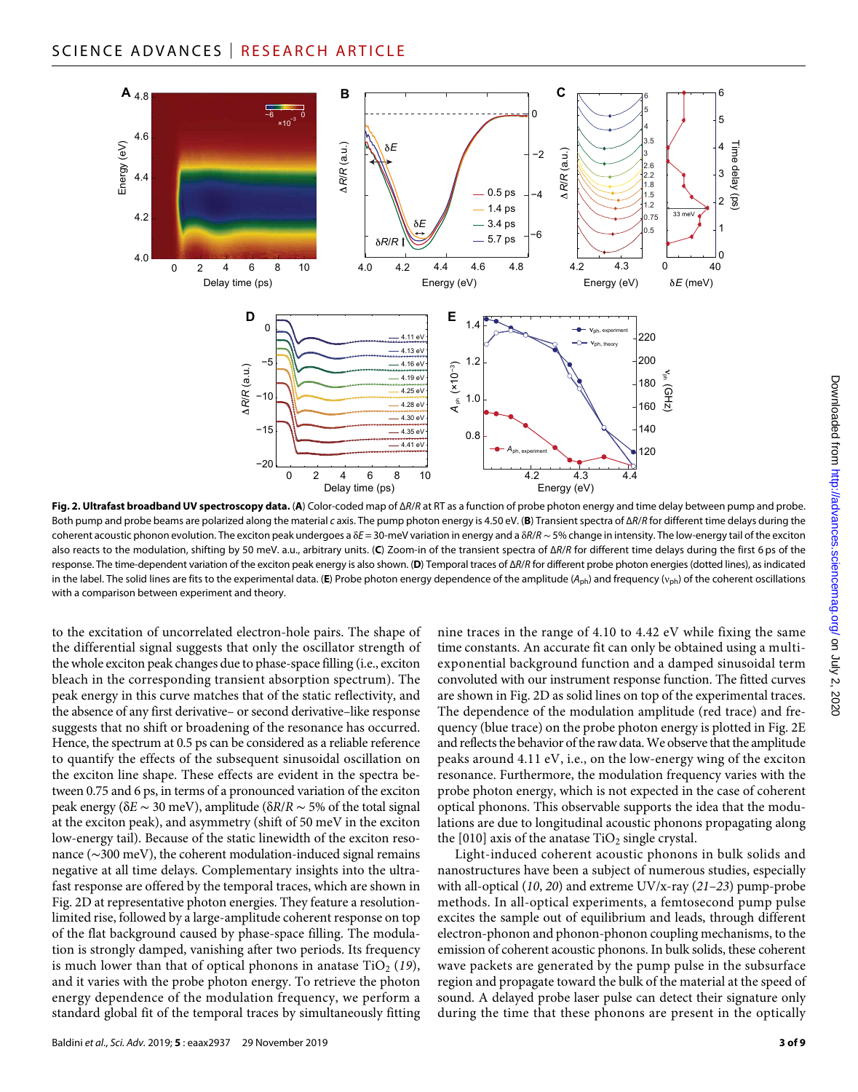

**Fig. 2. Ultrafast broadband UV spectroscopy data.** (**A**) Color-coded map of ∆*R*/*R* at RT as a function of probe photon energy and time delay between pump and probe. Both pump and probe beams are polarized along the material *c* axis. The pump photon energy is 4.50 eV. (**B**) Transient spectra of ∆*R*/*R* for different time delays during the coherent acoustic phonon evolution. The exciton peak undergoes a *E* = 30-meV variation in energy and a *R*/*R*∼ 5% change in intensity. The low-energy tail of the exciton also reacts to the modulation, shifting by 50 meV. a.u., arbitrary units. (**C**) Zoom-in of the transient spectra of ∆*R*/*R* for different time delays during the first 6 ps of the response. The time-dependent variation of the exciton peak energy is also shown. (**D**) Temporal traces of ∆*R*/*R* for different probe photon energies (dotted lines), as indicated in the label. The solid lines are fits to the experimental data. (E) Probe photon energy dependence of the amplitude (A<sub>ph</sub>) and frequency (v<sub>ph</sub>) of the coherent oscillations with a comparison between experiment and theory.

to the excitation of uncorrelated electron-hole pairs. The shape of the differential signal suggests that only the oscillator strength of the whole exciton peak changes due to phase-space filling (i.e., exciton bleach in the corresponding transient absorption spectrum). The peak energy in this curve matches that of the static reflectivity, and the absence of any first derivative– or second derivative–like response suggests that no shift or broadening of the resonance has occurred. Hence, the spectrum at 0.5 ps can be considered as a reliable reference to quantify the effects of the subsequent sinusoidal oscillation on the exciton line shape. These effects are evident in the spectra between 0.75 and 6 ps, in terms of a pronounced variation of the exciton peak energy (*E* ∼ 30 meV), amplitude (*R*/*R* ∼ 5% of the total signal at the exciton peak), and asymmetry (shift of 50 meV in the exciton low-energy tail). Because of the static linewidth of the exciton resonance (∼300 meV), the coherent modulation-induced signal remains negative at all time delays. Complementary insights into the ultrafast response are offered by the temporal traces, which are shown in Fig. 2D at representative photon energies. They feature a resolutionlimited rise, followed by a large-amplitude coherent response on top of the flat background caused by phase-space filling. The modulation is strongly damped, vanishing after two periods. Its frequency is much lower than that of optical phonons in anatase  $TiO<sub>2</sub>$  (19), and it varies with the probe photon energy. To retrieve the photon energy dependence of the modulation frequency, we perform a standard global fit of the temporal traces by simultaneously fitting

nine traces in the range of 4.10 to 4.42 eV while fixing the same time constants. An accurate fit can only be obtained using a multiexponential background function and a damped sinusoidal term convoluted with our instrument response function. The fitted curves are shown in Fig. 2D as solid lines on top of the experimental traces. The dependence of the modulation amplitude (red trace) and frequency (blue trace) on the probe photon energy is plotted in Fig. 2E and reflects the behavior of the raw data. We observe that the amplitude peaks around 4.11 eV, i.e., on the low-energy wing of the exciton resonance. Furthermore, the modulation frequency varies with the probe photon energy, which is not expected in the case of coherent optical phonons. This observable supports the idea that the modulations are due to longitudinal acoustic phonons propagating along the  $[010]$  axis of the anatase  $TiO<sub>2</sub>$  single crystal.

Light-induced coherent acoustic phonons in bulk solids and nanostructures have been a subject of numerous studies, especially with all-optical (*10*, *20*) and extreme UV/x-ray (*21*–*23*) pump-probe methods. In all-optical experiments, a femtosecond pump pulse excites the sample out of equilibrium and leads, through different electron-phonon and phonon-phonon coupling mechanisms, to the emission of coherent acoustic phonons. In bulk solids, these coherent wave packets are generated by the pump pulse in the subsurface region and propagate toward the bulk of the material at the speed of sound. A delayed probe laser pulse can detect their signature only during the time that these phonons are present in the optically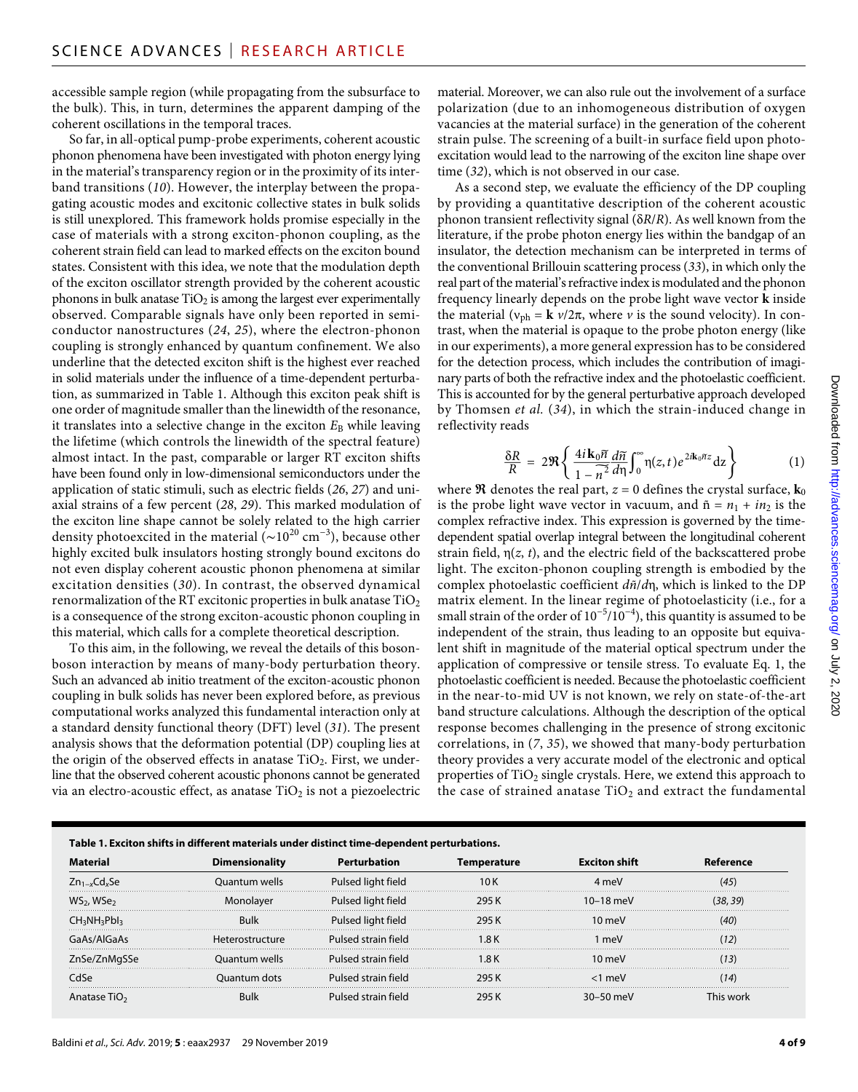accessible sample region (while propagating from the subsurface to the bulk). This, in turn, determines the apparent damping of the coherent oscillations in the temporal traces.

So far, in all-optical pump-probe experiments, coherent acoustic phonon phenomena have been investigated with photon energy lying in the material's transparency region or in the proximity of its interband transitions (*10*). However, the interplay between the propagating acoustic modes and excitonic collective states in bulk solids is still unexplored. This framework holds promise especially in the case of materials with a strong exciton-phonon coupling, as the coherent strain field can lead to marked effects on the exciton bound states. Consistent with this idea, we note that the modulation depth of the exciton oscillator strength provided by the coherent acoustic phonons in bulk anatase  $TiO<sub>2</sub>$  is among the largest ever experimentally observed. Comparable signals have only been reported in semiconductor nanostructures (*24*, *25*), where the electron-phonon coupling is strongly enhanced by quantum confinement. We also underline that the detected exciton shift is the highest ever reached in solid materials under the influence of a time-dependent perturbation, as summarized in Table 1. Although this exciton peak shift is one order of magnitude smaller than the linewidth of the resonance, it translates into a selective change in the exciton  $E_B$  while leaving the lifetime (which controls the linewidth of the spectral feature) almost intact. In the past, comparable or larger RT exciton shifts have been found only in low-dimensional semiconductors under the application of static stimuli, such as electric fields (*26*, *27*) and uniaxial strains of a few percent (*28*, *29*). This marked modulation of the exciton line shape cannot be solely related to the high carrier density photoexcited in the material (~10<sup>20</sup> cm<sup>-3</sup>), because other highly excited bulk insulators hosting strongly bound excitons do not even display coherent acoustic phonon phenomena at similar excitation densities (*30*). In contrast, the observed dynamical renormalization of the RT excitonic properties in bulk anatase  $TiO<sub>2</sub>$ is a consequence of the strong exciton-acoustic phonon coupling in this material, which calls for a complete theoretical description.

To this aim, in the following, we reveal the details of this bosonboson interaction by means of many-body perturbation theory. Such an advanced ab initio treatment of the exciton-acoustic phonon coupling in bulk solids has never been explored before, as previous computational works analyzed this fundamental interaction only at a standard density functional theory (DFT) level (*31*). The present analysis shows that the deformation potential (DP) coupling lies at the origin of the observed effects in anatase  $TiO<sub>2</sub>$ . First, we underline that the observed coherent acoustic phonons cannot be generated via an electro-acoustic effect, as anatase  $TiO<sub>2</sub>$  is not a piezoelectric

material. Moreover, we can also rule out the involvement of a surface polarization (due to an inhomogeneous distribution of oxygen vacancies at the material surface) in the generation of the coherent strain pulse. The screening of a built-in surface field upon photoexcitation would lead to the narrowing of the exciton line shape over time (*32*), which is not observed in our case.

As a second step, we evaluate the efficiency of the DP coupling by providing a quantitative description of the coherent acoustic phonon transient reflectivity signal (*R*/*R*). As well known from the literature, if the probe photon energy lies within the bandgap of an insulator, the detection mechanism can be interpreted in terms of the conventional Brillouin scattering process (*33*), in which only the real part of the material's refractive index is modulated and the phonon frequency linearly depends on the probe light wave vector **k** inside the material ( $v_{ph} = \mathbf{k} v/2\pi$ , where *v* is the sound velocity). In contrast, when the material is opaque to the probe photon energy (like in our experiments), a more general expression has to be considered for the detection process, which includes the contribution of imaginary parts of both the refractive index and the photoelastic coefficient. This is accounted for by the general perturbative approach developed by Thomsen *et al.* (*34*), in which the strain-induced change in reflectivity reads

$$
\frac{\delta R}{R} = 2\Re\left\{\frac{4i\mathbf{k}_0\tilde{n}}{1-\tilde{n}^2} \frac{d\tilde{n}}{d\eta} \int_0^\infty \eta(z,t) e^{2i\mathbf{k}_0\tilde{n}z} dz\right\}
$$
(1)

where  $\mathfrak R$  denotes the real part,  $z$  = 0 defines the crystal surface,  $\mathbf{k}_0$ is the probe light wave vector in vacuum, and  $\tilde{n} = n_1 + i n_2$  is the complex refractive index. This expression is governed by the timedependent spatial overlap integral between the longitudinal coherent strain field,  $\eta(z, t)$ , and the electric field of the backscattered probe light. The exciton-phonon coupling strength is embodied by the complex photoelastic coefficient  $d\tilde{n}/d\eta$ , which is linked to the DP matrix element. In the linear regime of photoelasticity (i.e., for a small strain of the order of  $10^{-5}/10^{-4}$ ), this quantity is assumed to be independent of the strain, thus leading to an opposite but equivalent shift in magnitude of the material optical spectrum under the application of compressive or tensile stress. To evaluate Eq. 1, the photoelastic coefficient is needed. Because the photoelastic coefficient in the near-to-mid UV is not known, we rely on state-of-the-art band structure calculations. Although the description of the optical response becomes challenging in the presence of strong excitonic correlations, in (*7*, *35*), we showed that many-body perturbation theory provides a very accurate model of the electronic and optical properties of  $TiO<sub>2</sub>$  single crystals. Here, we extend this approach to the case of strained anatase  $TiO<sub>2</sub>$  and extract the fundamental

| Table 1. Exciton shifts in different materials under distinct time-dependent perturbations. |                       |                     |              |                      |                       |
|---------------------------------------------------------------------------------------------|-----------------------|---------------------|--------------|----------------------|-----------------------|
|                                                                                             | <b>Dimensionality</b> |                     | i emperature | <b>Fxciton shift</b> |                       |
| $Zn_{1-x}Cd_{x}Se$                                                                          | uantum wells          | Pulsed light field  | 10 K         | 4 mey                |                       |
| WS <sub>2</sub> , WSe <sub>2</sub>                                                          | Monolaver             | Pulsed light field  | 295 K        | $10-18$ meV          | (38. 39)              |
| CH3NH3PbI3                                                                                  |                       | Pulsed light field  |              | 0 meV                |                       |
| s/AlGaAs                                                                                    | Heterostructure       | Pulsed strain field | ∣.8 K        | meV                  |                       |
| ZnSe/ZnMgSSe                                                                                | Ouantum wells         | Pulsed strain field | ∣.8 K        | 10 meV               |                       |
| مكان                                                                                        | )uantum dots          | Pulsed strain field |              | <1 meV               |                       |
| tase TiO5<br>Ana                                                                            |                       |                     |              | 30-50 mel            | his work <sup>.</sup> |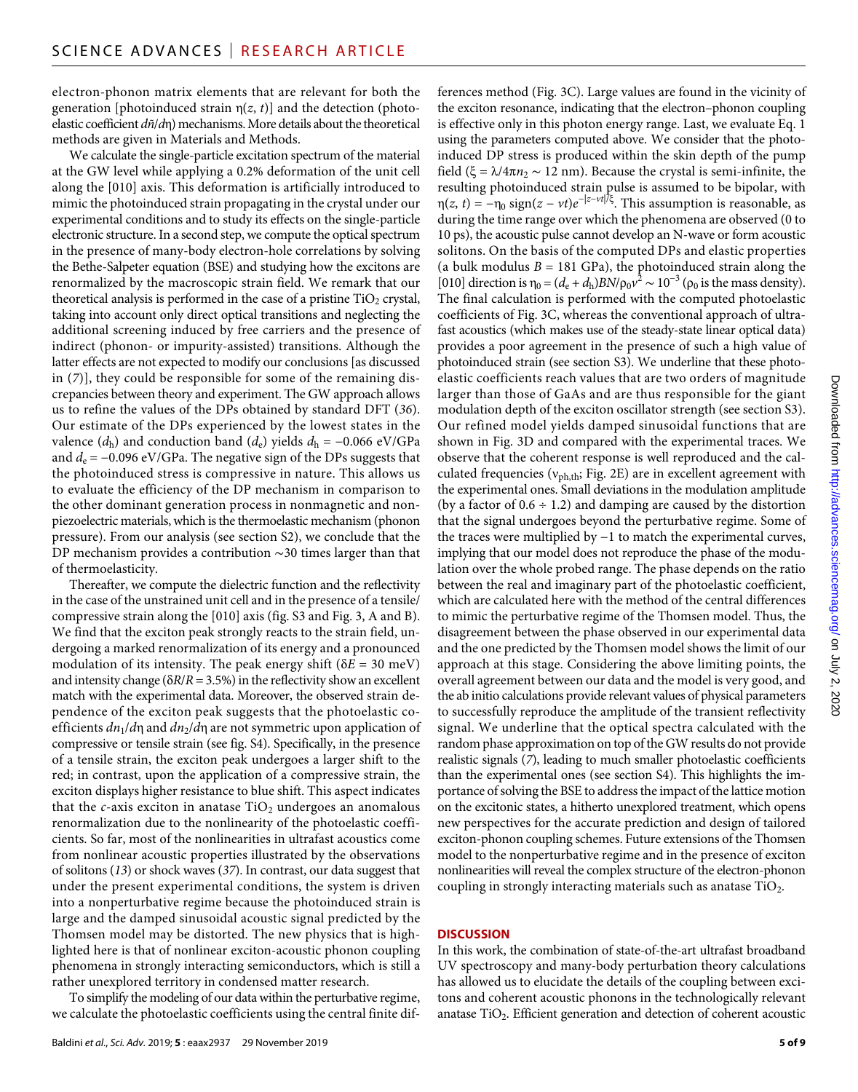electron-phonon matrix elements that are relevant for both the generation [photoinduced strain  $\eta(z, t)$ ] and the detection (photoelastic coefficient *dñ*/*d*) mechanisms. More details about the theoretical methods are given in Materials and Methods.

We calculate the single-particle excitation spectrum of the material at the GW level while applying a 0.2% deformation of the unit cell along the [010] axis. This deformation is artificially introduced to mimic the photoinduced strain propagating in the crystal under our experimental conditions and to study its effects on the single-particle electronic structure. In a second step, we compute the optical spectrum in the presence of many-body electron-hole correlations by solving the Bethe-Salpeter equation (BSE) and studying how the excitons are renormalized by the macroscopic strain field. We remark that our theoretical analysis is performed in the case of a pristine  $TiO<sub>2</sub>$  crystal, taking into account only direct optical transitions and neglecting the additional screening induced by free carriers and the presence of indirect (phonon- or impurity-assisted) transitions. Although the latter effects are not expected to modify our conclusions [as discussed in (*7*)], they could be responsible for some of the remaining discrepancies between theory and experiment. The GW approach allows us to refine the values of the DPs obtained by standard DFT (*36*). Our estimate of the DPs experienced by the lowest states in the valence  $(d_h)$  and conduction band  $(d_e)$  yields  $d_h = -0.066 \text{ eV/GPa}$ and  $d_e$  = −0.096 eV/GPa. The negative sign of the DPs suggests that the photoinduced stress is compressive in nature. This allows us to evaluate the efficiency of the DP mechanism in comparison to the other dominant generation process in nonmagnetic and nonpiezoelectric materials, which is the thermoelastic mechanism (phonon pressure). From our analysis (see section S2), we conclude that the DP mechanism provides a contribution ∼30 times larger than that of thermoelasticity.

Thereafter, we compute the dielectric function and the reflectivity in the case of the unstrained unit cell and in the presence of a tensile/ compressive strain along the [010] axis (fig. S3 and Fig. 3, A and B). We find that the exciton peak strongly reacts to the strain field, undergoing a marked renormalization of its energy and a pronounced modulation of its intensity. The peak energy shift ( $\delta E = 30$  meV) and intensity change ( $\delta R/R = 3.5\%$ ) in the reflectivity show an excellent match with the experimental data. Moreover, the observed strain dependence of the exciton peak suggests that the photoelastic coefficients *dn*<sub>1</sub>/*d*η and *dn*<sub>2</sub>/*d*η are not symmetric upon application of compressive or tensile strain (see fig. S4). Specifically, in the presence of a tensile strain, the exciton peak undergoes a larger shift to the red; in contrast, upon the application of a compressive strain, the exciton displays higher resistance to blue shift. This aspect indicates that the  $c$ -axis exciton in anatase  $TiO<sub>2</sub>$  undergoes an anomalous renormalization due to the nonlinearity of the photoelastic coefficients. So far, most of the nonlinearities in ultrafast acoustics come from nonlinear acoustic properties illustrated by the observations of solitons (*13*) or shock waves (*37*). In contrast, our data suggest that under the present experimental conditions, the system is driven into a nonperturbative regime because the photoinduced strain is large and the damped sinusoidal acoustic signal predicted by the Thomsen model may be distorted. The new physics that is highlighted here is that of nonlinear exciton-acoustic phonon coupling phenomena in strongly interacting semiconductors, which is still a rather unexplored territory in condensed matter research.

To simplify the modeling of our data within the perturbative regime, we calculate the photoelastic coefficients using the central finite differences method (Fig. 3C). Large values are found in the vicinity of the exciton resonance, indicating that the electron–phonon coupling is effective only in this photon energy range. Last, we evaluate Eq. 1 using the parameters computed above. We consider that the photoinduced DP stress is produced within the skin depth of the pump field ( $\xi = \lambda/4\pi n_2 \sim 12$  nm). Because the crystal is semi-infinite, the resulting photoinduced strain pulse is assumed to be bipolar, with  $\eta(z, t) = -\eta_0 \operatorname{sign}(z - vt)e^{-|z - vt|/\xi}$ . This assumption is reasonable, as during the time range over which the phenomena are observed (0 to 10 ps), the acoustic pulse cannot develop an N-wave or form acoustic solitons. On the basis of the computed DPs and elastic properties (a bulk modulus  $B = 181$  GPa), the photoinduced strain along the [010] direction is  $\eta_0 = (d_e + d_h)BN/\rho_0 v^2 \sim 10^{-3} (\rho_0 \text{ is the mass density}).$ The final calculation is performed with the computed photoelastic coefficients of Fig. 3C, whereas the conventional approach of ultrafast acoustics (which makes use of the steady-state linear optical data) provides a poor agreement in the presence of such a high value of photoinduced strain (see section S3). We underline that these photoelastic coefficients reach values that are two orders of magnitude larger than those of GaAs and are thus responsible for the giant modulation depth of the exciton oscillator strength (see section S3). Our refined model yields damped sinusoidal functions that are shown in Fig. 3D and compared with the experimental traces. We observe that the coherent response is well reproduced and the calculated frequencies ( $v_{ph,th}$ ; Fig. 2E) are in excellent agreement with the experimental ones. Small deviations in the modulation amplitude (by a factor of  $0.6 \div 1.2$ ) and damping are caused by the distortion that the signal undergoes beyond the perturbative regime. Some of the traces were multiplied by −1 to match the experimental curves, implying that our model does not reproduce the phase of the modulation over the whole probed range. The phase depends on the ratio between the real and imaginary part of the photoelastic coefficient, which are calculated here with the method of the central differences to mimic the perturbative regime of the Thomsen model. Thus, the disagreement between the phase observed in our experimental data and the one predicted by the Thomsen model shows the limit of our approach at this stage. Considering the above limiting points, the overall agreement between our data and the model is very good, and the ab initio calculations provide relevant values of physical parameters to successfully reproduce the amplitude of the transient reflectivity signal. We underline that the optical spectra calculated with the random phase approximation on top of the GW results do not provide realistic signals (*7*), leading to much smaller photoelastic coefficients than the experimental ones (see section S4). This highlights the importance of solving the BSE to address the impact of the lattice motion on the excitonic states, a hitherto unexplored treatment, which opens new perspectives for the accurate prediction and design of tailored exciton-phonon coupling schemes. Future extensions of the Thomsen model to the nonperturbative regime and in the presence of exciton nonlinearities will reveal the complex structure of the electron-phonon coupling in strongly interacting materials such as anatase  $TiO<sub>2</sub>$ .

## **DISCUSSION**

In this work, the combination of state-of-the-art ultrafast broadband UV spectroscopy and many-body perturbation theory calculations has allowed us to elucidate the details of the coupling between excitons and coherent acoustic phonons in the technologically relevant anatase  $TiO<sub>2</sub>$ . Efficient generation and detection of coherent acoustic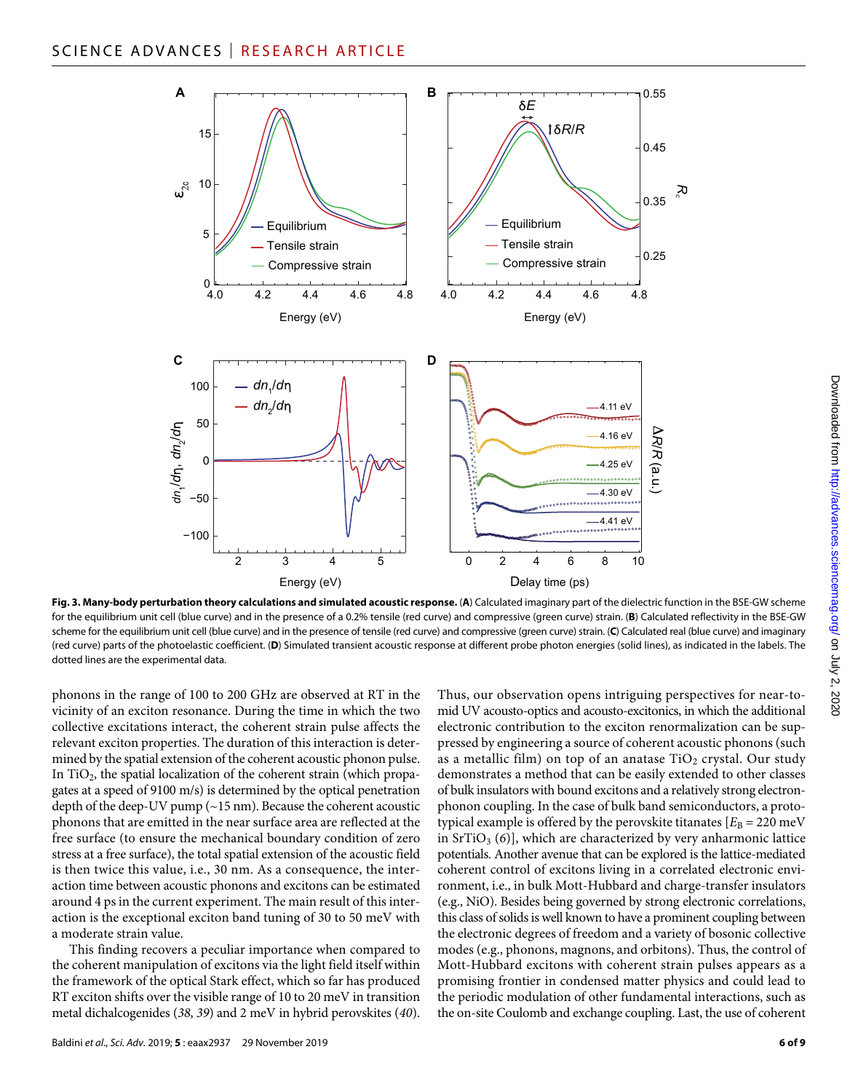

**Fig. 3. Many-body perturbation theory calculations and simulated acoustic response.** (**A**) Calculated imaginary part of the dielectric function in the BSE-GW scheme for the equilibrium unit cell (blue curve) and in the presence of a 0.2% tensile (red curve) and compressive (green curve) strain. (**B**) Calculated reflectivity in the BSE-GW scheme for the equilibrium unit cell (blue curve) and in the presence of tensile (red curve) and compressive (green curve) strain. (**C**) Calculated real (blue curve) and imaginary (red curve) parts of the photoelastic coefficient. (**D**) Simulated transient acoustic response at different probe photon energies (solid lines), as indicated in the labels. The dotted lines are the experimental data.

phonons in the range of 100 to 200 GHz are observed at RT in the vicinity of an exciton resonance. During the time in which the two collective excitations interact, the coherent strain pulse affects the relevant exciton properties. The duration of this interaction is determined by the spatial extension of the coherent acoustic phonon pulse. In  $TiO<sub>2</sub>$ , the spatial localization of the coherent strain (which propagates at a speed of 9100 m/s) is determined by the optical penetration depth of the deep-UV pump (~15 nm). Because the coherent acoustic phonons that are emitted in the near surface area are reflected at the free surface (to ensure the mechanical boundary condition of zero stress at a free surface), the total spatial extension of the acoustic field is then twice this value, i.e., 30 nm. As a consequence, the interaction time between acoustic phonons and excitons can be estimated around 4 ps in the current experiment. The main result of this interaction is the exceptional exciton band tuning of 30 to 50 meV with a moderate strain value.

This finding recovers a peculiar importance when compared to the coherent manipulation of excitons via the light field itself within the framework of the optical Stark effect, which so far has produced RT exciton shifts over the visible range of 10 to 20 meV in transition metal dichalcogenides (*38*, *39*) and 2 meV in hybrid perovskites (*40*).

Thus, our observation opens intriguing perspectives for near-tomid UV acousto-optics and acousto-excitonics, in which the additional electronic contribution to the exciton renormalization can be suppressed by engineering a source of coherent acoustic phonons (such as a metallic film) on top of an anatase  $TiO<sub>2</sub>$  crystal. Our study demonstrates a method that can be easily extended to other classes of bulk insulators with bound excitons and a relatively strong electronphonon coupling. In the case of bulk band semiconductors, a prototypical example is offered by the perovskite titanates  $[E_B = 220 \text{ meV}]$ in SrTiO<sub>3</sub> (6)], which are characterized by very anharmonic lattice potentials. Another avenue that can be explored is the lattice-mediated coherent control of excitons living in a correlated electronic environment, i.e., in bulk Mott-Hubbard and charge-transfer insulators (e.g., NiO). Besides being governed by strong electronic correlations, this class of solids is well known to have a prominent coupling between the electronic degrees of freedom and a variety of bosonic collective modes (e.g., phonons, magnons, and orbitons). Thus, the control of Mott-Hubbard excitons with coherent strain pulses appears as a promising frontier in condensed matter physics and could lead to the periodic modulation of other fundamental interactions, such as the on-site Coulomb and exchange coupling. Last, the use of coherent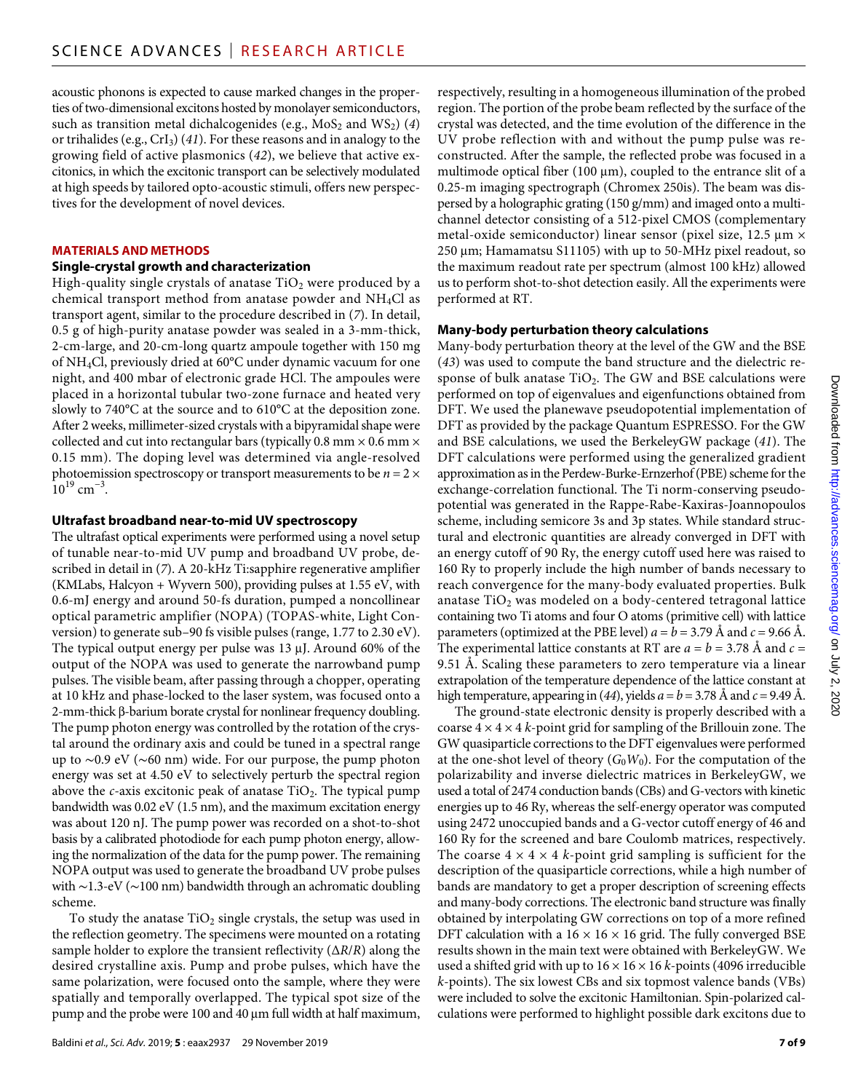acoustic phonons is expected to cause marked changes in the properties of two-dimensional excitons hosted by monolayer semiconductors, such as transition metal dichalcogenides (e.g.,  $MoS<sub>2</sub>$  and  $WS<sub>2</sub>$ ) (4) or trihalides (e.g., CrI3) (*41*). For these reasons and in analogy to the growing field of active plasmonics (*42*), we believe that active excitonics, in which the excitonic transport can be selectively modulated at high speeds by tailored opto-acoustic stimuli, offers new perspectives for the development of novel devices.

#### **MATERIALS AND METHODS**

#### **Single-crystal growth and characterization**

High-quality single crystals of anatase  $TiO<sub>2</sub>$  were produced by a chemical transport method from anatase powder and NH4Cl as transport agent, similar to the procedure described in (*7*). In detail, 0.5 g of high-purity anatase powder was sealed in a 3-mm-thick, 2-cm-large, and 20-cm-long quartz ampoule together with 150 mg of NH4Cl, previously dried at 60°C under dynamic vacuum for one night, and 400 mbar of electronic grade HCl. The ampoules were placed in a horizontal tubular two-zone furnace and heated very slowly to 740°C at the source and to 610°C at the deposition zone. After 2 weeks, millimeter-sized crystals with a bipyramidal shape were collected and cut into rectangular bars (typically  $0.8$  mm  $\times$   $0.6$  mm  $\times$ 0.15 mm). The doping level was determined via angle-resolved photoemission spectroscopy or transport measurements to be  $n = 2 \times$  $10^{19}$  cm<sup>-3</sup>.

## **Ultrafast broadband near-to-mid UV spectroscopy**

The ultrafast optical experiments were performed using a novel setup of tunable near-to-mid UV pump and broadband UV probe, described in detail in (*7*). A 20-kHz Ti:sapphire regenerative amplifier (KMLabs, Halcyon + Wyvern 500), providing pulses at 1.55 eV, with 0.6-mJ energy and around 50-fs duration, pumped a noncollinear optical parametric amplifier (NOPA) (TOPAS-white, Light Conversion) to generate sub–90 fs visible pulses (range, 1.77 to 2.30 eV). The typical output energy per pulse was  $13 \mu$ J. Around  $60\%$  of the output of the NOPA was used to generate the narrowband pump pulses. The visible beam, after passing through a chopper, operating at 10 kHz and phase-locked to the laser system, was focused onto a  $2$ -mm-thick  $\beta$ -barium borate crystal for nonlinear frequency doubling. The pump photon energy was controlled by the rotation of the crystal around the ordinary axis and could be tuned in a spectral range up to ∼0.9 eV (∼60 nm) wide. For our purpose, the pump photon energy was set at 4.50 eV to selectively perturb the spectral region above the *c*-axis excitonic peak of anatase TiO<sub>2</sub>. The typical pump bandwidth was 0.02 eV (1.5 nm), and the maximum excitation energy was about 120 nJ. The pump power was recorded on a shot-to-shot basis by a calibrated photodiode for each pump photon energy, allowing the normalization of the data for the pump power. The remaining NOPA output was used to generate the broadband UV probe pulses with ∼1.3-eV (∼100 nm) bandwidth through an achromatic doubling scheme.

To study the anatase  $TiO<sub>2</sub>$  single crystals, the setup was used in the reflection geometry. The specimens were mounted on a rotating sample holder to explore the transient reflectivity (∆*R*/*R*) along the desired crystalline axis. Pump and probe pulses, which have the same polarization, were focused onto the sample, where they were spatially and temporally overlapped. The typical spot size of the pump and the probe were 100 and 40 µm full width at half maximum,

respectively, resulting in a homogeneous illumination of the probed region. The portion of the probe beam reflected by the surface of the crystal was detected, and the time evolution of the difference in the UV probe reflection with and without the pump pulse was reconstructed. After the sample, the reflected probe was focused in a multimode optical fiber (100  $\mu$ m), coupled to the entrance slit of a 0.25-m imaging spectrograph (Chromex 250is). The beam was dispersed by a holographic grating (150 g/mm) and imaged onto a multichannel detector consisting of a 512-pixel CMOS (complementary metal-oxide semiconductor) linear sensor (pixel size,  $12.5 \mu m \times$  $250 \mu m$ ; Hamamatsu S11105) with up to 50-MHz pixel readout, so the maximum readout rate per spectrum (almost 100 kHz) allowed us to perform shot-to-shot detection easily. All the experiments were performed at RT.

#### **Many-body perturbation theory calculations**

Many-body perturbation theory at the level of the GW and the BSE (*43*) was used to compute the band structure and the dielectric response of bulk anatase  $TiO<sub>2</sub>$ . The GW and BSE calculations were performed on top of eigenvalues and eigenfunctions obtained from DFT. We used the planewave pseudopotential implementation of DFT as provided by the package Quantum ESPRESSO. For the GW and BSE calculations, we used the BerkeleyGW package (*41*). The DFT calculations were performed using the generalized gradient approximation as in the Perdew-Burke-Ernzerhof (PBE) scheme for the exchange-correlation functional. The Ti norm-conserving pseudopotential was generated in the Rappe-Rabe-Kaxiras-Joannopoulos scheme, including semicore 3s and 3p states. While standard structural and electronic quantities are already converged in DFT with an energy cutoff of 90 Ry, the energy cutoff used here was raised to 160 Ry to properly include the high number of bands necessary to reach convergence for the many-body evaluated properties. Bulk anatase  $TiO<sub>2</sub>$  was modeled on a body-centered tetragonal lattice containing two Ti atoms and four O atoms (primitive cell) with lattice parameters (optimized at the PBE level)  $a = b = 3.79$  Å and  $c = 9.66$  Å. The experimental lattice constants at RT are  $a = b = 3.78$  Å and  $c =$ 9.51 Å. Scaling these parameters to zero temperature via a linear extrapolation of the temperature dependence of the lattice constant at high temperature, appearing in (44), yields  $a = b = 3.78$  Å and  $c = 9.49$  Å.

The ground-state electronic density is properly described with a coarse  $4 \times 4 \times 4$  *k*-point grid for sampling of the Brillouin zone. The GW quasiparticle corrections to the DFT eigenvalues were performed at the one-shot level of theory  $(G_0W_0)$ . For the computation of the polarizability and inverse dielectric matrices in BerkeleyGW, we used a total of 2474 conduction bands (CBs) and G-vectors with kinetic energies up to 46 Ry, whereas the self-energy operator was computed using 2472 unoccupied bands and a G-vector cutoff energy of 46 and 160 Ry for the screened and bare Coulomb matrices, respectively. The coarse  $4 \times 4 \times 4$  *k*-point grid sampling is sufficient for the description of the quasiparticle corrections, while a high number of bands are mandatory to get a proper description of screening effects and many-body corrections. The electronic band structure was finally obtained by interpolating GW corrections on top of a more refined DFT calculation with a  $16 \times 16 \times 16$  grid. The fully converged BSE results shown in the main text were obtained with BerkeleyGW. We used a shifted grid with up to  $16 \times 16 \times 16$  k-points (4096 irreducible *k*-points). The six lowest CBs and six topmost valence bands (VBs) were included to solve the excitonic Hamiltonian. Spin-polarized calculations were performed to highlight possible dark excitons due to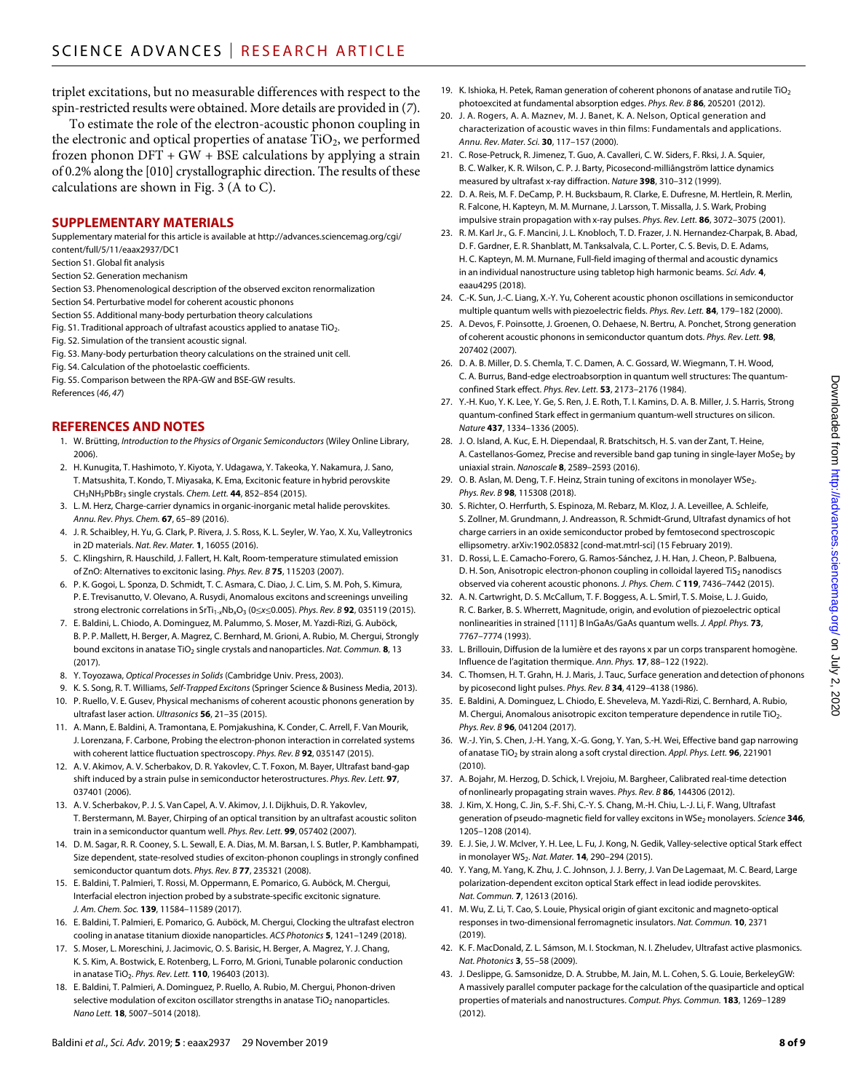triplet excitations, but no measurable differences with respect to the spin-restricted results were obtained. More details are provided in (*7*).

To estimate the role of the electron-acoustic phonon coupling in the electronic and optical properties of anatase  $TiO<sub>2</sub>$ , we performed frozen phonon  $DFT + GW + BSE$  calculations by applying a strain of 0.2% along the [010] crystallographic direction. The results of these calculations are shown in Fig. 3 (A to C).

## **SUPPLEMENTARY MATERIALS**

Supplementary material for this article is available at [http://advances.sciencemag.org/cgi/](http://advances.sciencemag.org/cgi/content/full/5/11/eaax2937/DC1) [content/full/5/11/eaax2937/DC1](http://advances.sciencemag.org/cgi/content/full/5/11/eaax2937/DC1)

Section S1. Global fit analysis

Section S2. Generation mechanism

Section S3. Phenomenological description of the observed exciton renormalization

Section S4. Perturbative model for coherent acoustic phonons

Section S5. Additional many-body perturbation theory calculations

Fig. S1. Traditional approach of ultrafast acoustics applied to anatase  $TiO<sub>2</sub>$ .

Fig. S2. Simulation of the transient acoustic signal.

Fig. S3. Many-body perturbation theory calculations on the strained unit cell.

Fig. S4. Calculation of the photoelastic coefficients.

Fig. S5. Comparison between the RPA-GW and BSE-GW results. References (*46*, *47*)

## **REFERENCES AND NOTES**

- 1. W. Brütting, *Introduction to the Physics of Organic Semiconductors* (Wiley Online Library, 2006).
- 2. H. Kunugita, T. Hashimoto, Y. Kiyota, Y. Udagawa, Y. Takeoka, Y. Nakamura, J. Sano, T. Matsushita, T. Kondo, T. Miyasaka, K. Ema, Excitonic feature in hybrid perovskite CH3NH3PbBr3 single crystals. *Chem. Lett.* **44**, 852–854 (2015).
- 3. L. M. Herz, Charge-carrier dynamics in organic-inorganic metal halide perovskites. *Annu. Rev. Phys. Chem.* **67**, 65–89 (2016).
- 4. J. R. Schaibley, H. Yu, G. Clark, P. Rivera, J. S. Ross, K. L. Seyler, W. Yao, X. Xu, Valleytronics in 2D materials. *Nat. Rev. Mater.* **1**, 16055 (2016).
- 5. C. Klingshirn, R. Hauschild, J. Fallert, H. Kalt, Room-temperature stimulated emission of ZnO: Alternatives to excitonic lasing. *Phys. Rev. B* **75**, 115203 (2007).
- 6. P. K. Gogoi, L. Sponza, D. Schmidt, T. C. Asmara, C. Diao, J. C. Lim, S. M. Poh, S. Kimura, P. E. Trevisanutto, V. Olevano, A. Rusydi, Anomalous excitons and screenings unveiling strong electronic correlations in SrTi<sub>1-x</sub>Nb<sub>x</sub>O<sub>3</sub> (0≤x≤0.005). *Phys. Rev. B* **92**, 035119 (2015).
- 7. E. Baldini, L. Chiodo, A. Dominguez, M. Palummo, S. Moser, M. Yazdi-Rizi, G. Auböck, B. P. P. Mallett, H. Berger, A. Magrez, C. Bernhard, M. Grioni, A. Rubio, M. Chergui, Strongly bound excitons in anatase TiO2 single crystals and nanoparticles. *Nat. Commun.* **8**, 13  $(2017)$
- 8. Y. Toyozawa, *Optical Processes in Solids* (Cambridge Univ. Press, 2003).
- 9. K. S. Song, R. T. Williams, *Self-Trapped Excitons* (Springer Science & Business Media, 2013).
- 10. P. Ruello, V. E. Gusev, Physical mechanisms of coherent acoustic phonons generation by ultrafast laser action. *Ultrasonics* **56**, 21–35 (2015).
- 11. A. Mann, E. Baldini, A. Tramontana, E. Pomjakushina, K. Conder, C. Arrell, F. Van Mourik, J. Lorenzana, F. Carbone, Probing the electron-phonon interaction in correlated systems with coherent lattice fluctuation spectroscopy. *Phys. Rev. B* **92**, 035147 (2015).
- 12. A. V. Akimov, A. V. Scherbakov, D. R. Yakovlev, C. T. Foxon, M. Bayer, Ultrafast band-gap shift induced by a strain pulse in semiconductor heterostructures. *Phys. Rev. Lett.* **97**, 037401 (2006).
- 13. A. V. Scherbakov, P. J. S. Van Capel, A. V. Akimov, J. I. Dijkhuis, D. R. Yakovlev, T. Berstermann, M. Bayer, Chirping of an optical transition by an ultrafast acoustic soliton train in a semiconductor quantum well. *Phys. Rev. Lett.* **99**, 057402 (2007).
- 14. D. M. Sagar, R. R. Cooney, S. L. Sewall, E. A. Dias, M. M. Barsan, I. S. Butler, P. Kambhampati, Size dependent, state-resolved studies of exciton-phonon couplings in strongly confined semiconductor quantum dots. *Phys. Rev. B* **77**, 235321 (2008).
- 15. E. Baldini, T. Palmieri, T. Rossi, M. Oppermann, E. Pomarico, G. Auböck, M. Chergui, Interfacial electron injection probed by a substrate-specific excitonic signature. *J. Am. Chem. Soc.* **139**, 11584–11589 (2017).
- 16. E. Baldini, T. Palmieri, E. Pomarico, G. Auböck, M. Chergui, Clocking the ultrafast electron cooling in anatase titanium dioxide nanoparticles. *ACS Photonics* **5**, 1241–1249 (2018).
- 17. S. Moser, L. Moreschini, J. Jacimovic, O. S. Barisic, H. Berger, A. Magrez, Y. J. Chang, K. S. Kim, A. Bostwick, E. Rotenberg, L. Forro, M. Grioni, Tunable polaronic conduction in anatase TiO2. *Phys. Rev. Lett.* **110**, 196403 (2013).
- 18. E. Baldini, T. Palmieri, A. Dominguez, P. Ruello, A. Rubio, M. Chergui, Phonon-driven selective modulation of exciton oscillator strengths in anatase  $TiO<sub>2</sub>$  nanoparticles. *Nano Lett.* **18**, 5007–5014 (2018).
- 19. K. Ishioka, H. Petek, Raman generation of coherent phonons of anatase and rutile  $TiO<sub>2</sub>$ photoexcited at fundamental absorption edges. *Phys. Rev. B* **86**, 205201 (2012).
- 20. J. A. Rogers, A. A. Maznev, M. J. Banet, K. A. Nelson, Optical generation and characterization of acoustic waves in thin films: Fundamentals and applications. *Annu. Rev. Mater. Sci.* **30**, 117–157 (2000).
- 21. C. Rose-Petruck, R. Jimenez, T. Guo, A. Cavalleri, C. W. Siders, F. Rksi, J. A. Squier, B. C. Walker, K. R. Wilson, C. P. J. Barty, Picosecond-milliångström lattice dynamics measured by ultrafast x-ray diffraction. *Nature* **398**, 310–312 (1999).
- 22. D. A. Reis, M. F. DeCamp, P. H. Bucksbaum, R. Clarke, E. Dufresne, M. Hertlein, R. Merlin, R. Falcone, H. Kapteyn, M. M. Murnane, J. Larsson, T. Missalla, J. S. Wark, Probing impulsive strain propagation with x-ray pulses. *Phys. Rev. Lett.* **86**, 3072–3075 (2001).
- 23. R. M. Karl Jr., G. F. Mancini, J. L. Knobloch, T. D. Frazer, J. N. Hernandez-Charpak, B. Abad, D. F. Gardner, E. R. Shanblatt, M. Tanksalvala, C. L. Porter, C. S. Bevis, D. E. Adams, H. C. Kapteyn, M. M. Murnane, Full-field imaging of thermal and acoustic dynamics in an individual nanostructure using tabletop high harmonic beams. *Sci. Adv.* **4**, eaau4295 (2018).
- 24. C.-K. Sun, J.-C. Liang, X.-Y. Yu, Coherent acoustic phonon oscillations in semiconductor multiple quantum wells with piezoelectric fields. *Phys. Rev. Lett.* **84**, 179–182 (2000).
- 25. A. Devos, F. Poinsotte, J. Groenen, O. Dehaese, N. Bertru, A. Ponchet, Strong generation of coherent acoustic phonons in semiconductor quantum dots. *Phys. Rev. Lett.* **98**, 207402 (2007).
- 26. D. A. B. Miller, D. S. Chemla, T. C. Damen, A. C. Gossard, W. Wiegmann, T. H. Wood, C. A. Burrus, Band-edge electroabsorption in quantum well structures: The quantumconfined Stark effect. *Phys. Rev. Lett.* **53**, 2173–2176 (1984).
- 27. Y.-H. Kuo, Y. K. Lee, Y. Ge, S. Ren, J. E. Roth, T. I. Kamins, D. A. B. Miller, J. S. Harris, Strong quantum-confined Stark effect in germanium quantum-well structures on silicon. *Nature* **437**, 1334–1336 (2005).
- 28. J. O. Island, A. Kuc, E. H. Diependaal, R. Bratschitsch, H. S. van der Zant, T. Heine, A. Castellanos-Gomez, Precise and reversible band gap tuning in single-layer MoSe<sub>2</sub> by uniaxial strain. *Nanoscale* **8**, 2589–2593 (2016).
- 29. O. B. Aslan, M. Deng, T. F. Heinz, Strain tuning of excitons in monolayer WSe<sub>2</sub>. *Phys. Rev. B* **98**, 115308 (2018).
- 30. S. Richter, O. Herrfurth, S. Espinoza, M. Rebarz, M. Kloz, J. A. Leveillee, A. Schleife, S. Zollner, M. Grundmann, J. Andreasson, R. Schmidt-Grund, Ultrafast dynamics of hot charge carriers in an oxide semiconductor probed by femtosecond spectroscopic ellipsometry. arXiv[:1902.05832](https://arxiv.org/abs/1902.05832) [cond-mat.mtrl-sci] (15 February 2019).
- 31. D. Rossi, L. E. Camacho-Forero, G. Ramos-Sánchez, J. H. Han, J. Cheon, P. Balbuena, D. H. Son, Anisotropic electron-phonon coupling in colloidal layered  $TiS<sub>2</sub>$  nanodiscs observed via coherent acoustic phonons. *J. Phys. Chem. C* **119**, 7436–7442 (2015).
- 32. A. N. Cartwright, D. S. McCallum, T. F. Boggess, A. L. Smirl, T. S. Moise, L. J. Guido, R. C. Barker, B. S. Wherrett, Magnitude, origin, and evolution of piezoelectric optical nonlinearities in strained [111] B InGaAs/GaAs quantum wells. *J. Appl. Phys.* **73**, 7767–7774 (1993).
- 33. L. Brillouin, Diffusion de la lumière et des rayons x par un corps transparent homogène. Influence de l'agitation thermique. *Ann. Phys.* **17**, 88–122 (1922).
- 34. C. Thomsen, H. T. Grahn, H. J. Maris, J. Tauc, Surface generation and detection of phonons by picosecond light pulses. *Phys. Rev. B* **34**, 4129–4138 (1986).
- 35. E. Baldini, A. Dominguez, L. Chiodo, E. Sheveleva, M. Yazdi-Rizi, C. Bernhard, A. Rubio, M. Chergui, Anomalous anisotropic exciton temperature dependence in rutile TiO<sub>2</sub>. *Phys. Rev. B* **96**, 041204 (2017).
- 36. W.-J. Yin, S. Chen, J.-H. Yang, X.-G. Gong, Y. Yan, S.-H. Wei, Effective band gap narrowing of anatase TiO2 by strain along a soft crystal direction. *Appl. Phys. Lett.* **96**, 221901 (2010).
- 37. A. Bojahr, M. Herzog, D. Schick, I. Vrejoiu, M. Bargheer, Calibrated real-time detection of nonlinearly propagating strain waves. *Phys. Rev. B* **86**, 144306 (2012).
- 38. J. Kim, X. Hong, C. Jin, S.-F. Shi, C.-Y. S. Chang, M.-H. Chiu, L.-J. Li, F. Wang, Ultrafast generation of pseudo-magnetic field for valley excitons in WSe<sub>2</sub> monolayers. *Science* 346, 1205–1208 (2014).
- 39. E. J. Sie, J. W. McIver, Y. H. Lee, L. Fu, J. Kong, N. Gedik, Valley-selective optical Stark effect in monolayer WS<sub>2</sub>. *Nat. Mater.* **14**, 290–294 (2015).
- 40. Y. Yang, M. Yang, K. Zhu, J. C. Johnson, J. J. Berry, J. VanDe Lagemaat, M. C. Beard, Large polarization-dependent exciton optical Stark effect in lead iodide perovskites. *Nat. Commun.* **7**, 12613 (2016).
- 41. M. Wu, Z. Li, T. Cao, S. Louie, Physical origin of giant excitonic and magneto-optical responses in two-dimensional ferromagnetic insulators. *Nat. Commun.* **10**, 2371 (2019).
- 42. K. F. MacDonald, Z. L. Sámson, M. I. Stockman, N. I. Zheludev, Ultrafast active plasmonics. *Nat. Photonics* **3**, 55–58 (2009).
- 43. J. Deslippe, G. Samsonidze, D. A. Strubbe, M. Jain, M. L. Cohen, S. G. Louie, BerkeleyGW: A massively parallel computer package for the calculation of the quasiparticle and optical properties of materials and nanostructures. *Comput. Phys. Commun.* **183**, 1269–1289 (2012).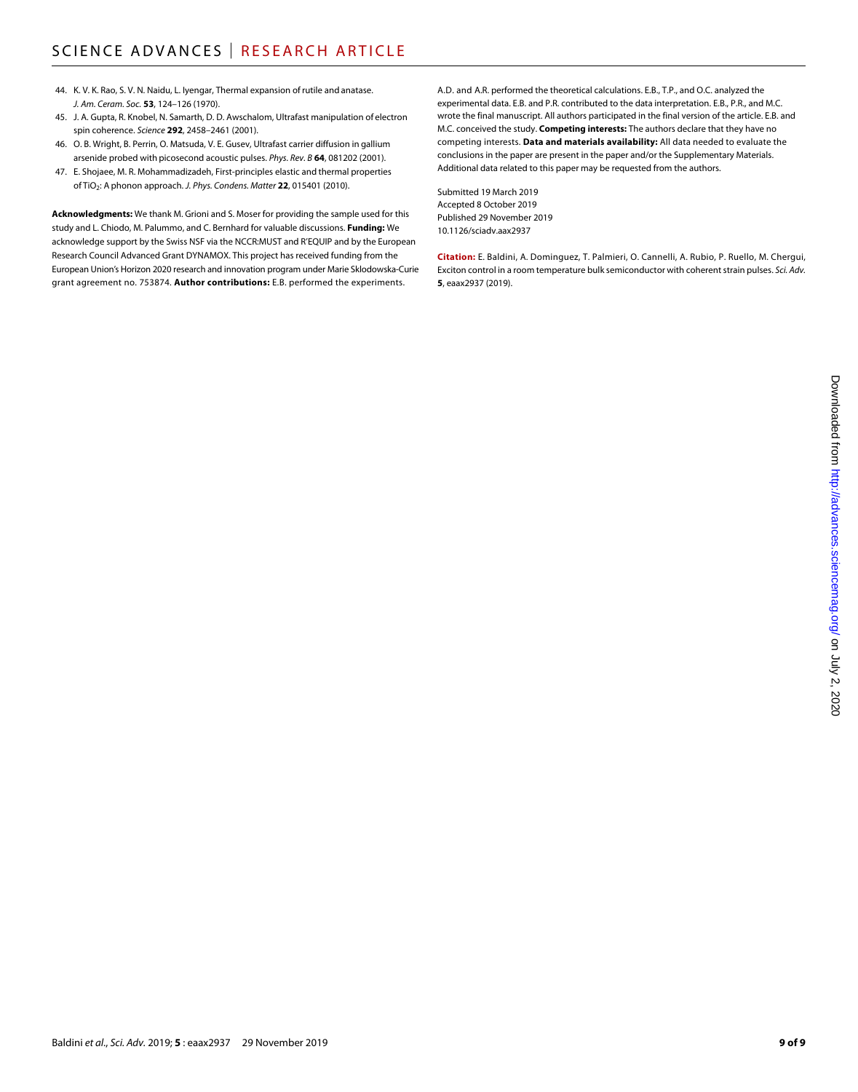- 44. K. V. K. Rao, S. V. N. Naidu, L. Iyengar, Thermal expansion of rutile and anatase. *J. Am. Ceram. Soc.* **53**, 124–126 (1970).
- 45. J. A. Gupta, R. Knobel, N. Samarth, D. D. Awschalom, Ultrafast manipulation of electron spin coherence. *Science* **292**, 2458–2461 (2001).
- 46. O. B. Wright, B. Perrin, O. Matsuda, V. E. Gusev, Ultrafast carrier diffusion in gallium arsenide probed with picosecond acoustic pulses. *Phys. Rev. B* **64**, 081202 (2001).
- 47. E. Shojaee, M. R. Mohammadizadeh, First-principles elastic and thermal properties of TiO2: A phonon approach. *J. Phys. Condens. Matter* **22**, 015401 (2010).

**Acknowledgments:** We thank M. Grioni and S. Moser for providing the sample used for this study and L. Chiodo, M. Palummo, and C. Bernhard for valuable discussions. **Funding:** We acknowledge support by the Swiss NSF via the NCCR:MUST and R'EQUIP and by the European Research Council Advanced Grant DYNAMOX. This project has received funding from the European Union's Horizon 2020 research and innovation program under Marie Sklodowska-Curie grant agreement no. 753874. **Author contributions:** E.B. performed the experiments.

A.D. and A.R. performed the theoretical calculations. E.B., T.P., and O.C. analyzed the experimental data. E.B. and P.R. contributed to the data interpretation. E.B., P.R., and M.C. wrote the final manuscript. All authors participated in the final version of the article. E.B. and M.C. conceived the study. **Competing interests:** The authors declare that they have no competing interests. **Data and materials availability:** All data needed to evaluate the conclusions in the paper are present in the paper and/or the Supplementary Materials. Additional data related to this paper may be requested from the authors.

Submitted 19 March 2019 Accepted 8 October 2019 Published 29 November 2019 10.1126/sciadv.aax2937

**Citation:** E. Baldini, A. Dominguez, T. Palmieri, O. Cannelli, A. Rubio, P. Ruello, M. Chergui, Exciton control in a room temperature bulk semiconductor with coherent strain pulses. *Sci. Adv.* **5**, eaax2937 (2019).